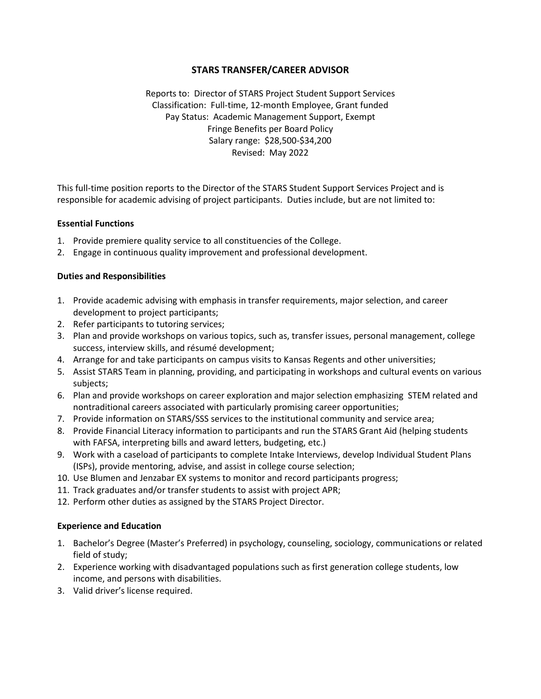# **STARS TRANSFER/CAREER ADVISOR**

Reports to: Director of STARS Project Student Support Services Classification: Full-time, 12-month Employee, Grant funded Pay Status: Academic Management Support, Exempt Fringe Benefits per Board Policy Salary range: \$28,500-\$34,200 Revised: May 2022

This full-time position reports to the Director of the STARS Student Support Services Project and is responsible for academic advising of project participants. Duties include, but are not limited to:

#### **Essential Functions**

- 1. Provide premiere quality service to all constituencies of the College.
- 2. Engage in continuous quality improvement and professional development.

### **Duties and Responsibilities**

- 1. Provide academic advising with emphasis in transfer requirements, major selection, and career development to project participants;
- 2. Refer participants to tutoring services;
- 3. Plan and provide workshops on various topics, such as, transfer issues, personal management, college success, interview skills, and résumé development;
- 4. Arrange for and take participants on campus visits to Kansas Regents and other universities;
- 5. Assist STARS Team in planning, providing, and participating in workshops and cultural events on various subjects;
- 6. Plan and provide workshops on career exploration and major selection emphasizing STEM related and nontraditional careers associated with particularly promising career opportunities;
- 7. Provide information on STARS/SSS services to the institutional community and service area;
- 8. Provide Financial Literacy information to participants and run the STARS Grant Aid (helping students with FAFSA, interpreting bills and award letters, budgeting, etc.)
- 9. Work with a caseload of participants to complete Intake Interviews, develop Individual Student Plans (ISPs), provide mentoring, advise, and assist in college course selection;
- 10. Use Blumen and Jenzabar EX systems to monitor and record participants progress;
- 11. Track graduates and/or transfer students to assist with project APR;
- 12. Perform other duties as assigned by the STARS Project Director.

### **Experience and Education**

- 1. Bachelor's Degree (Master's Preferred) in psychology, counseling, sociology, communications or related field of study;
- 2. Experience working with disadvantaged populations such as first generation college students, low income, and persons with disabilities.
- 3. Valid driver's license required.